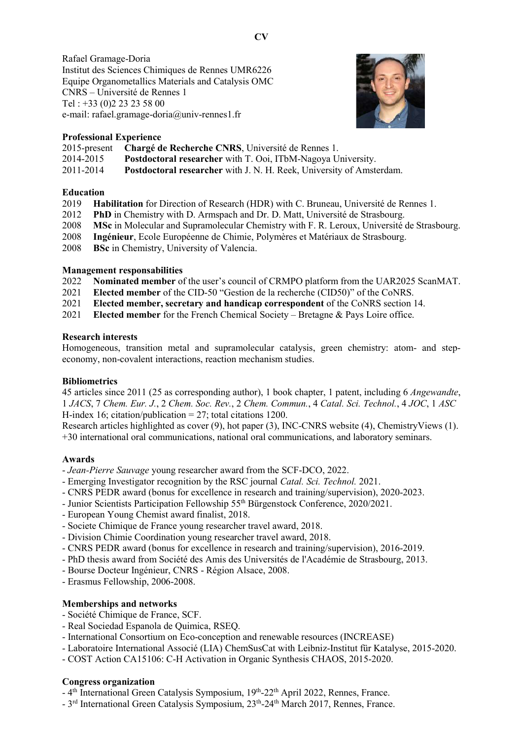Rafael Gramage-Doria Institut des Sciences Chimiques de Rennes UMR6226 Equipe Organometallics Materials and Catalysis OMC CNRS – Université de Rennes 1 Tel : +33 (0)2 23 23 58 00 e-mail: rafael.gramage-doria@univ-rennes1.fr



## Professional Experience

2015-present Chargé de Recherche CNRS, Université de Rennes 1.

2014-2015 Postdoctoral researcher with T. Ooi, ITbM-Nagoya University.

2011-2014 Postdoctoral researcher with J. N. H. Reek, University of Amsterdam.

## Education

- 2019 Habilitation for Direction of Research (HDR) with C. Bruneau, Université de Rennes 1.
- 2012 PhD in Chemistry with D. Armspach and Dr. D. Matt, Université de Strasbourg.
- 2008 MSc in Molecular and Supramolecular Chemistry with F. R. Leroux, Université de Strasbourg.
- 2008 Ingénieur, Ecole Européenne de Chimie, Polymères et Matériaux de Strasbourg.
- 2008 BSc in Chemistry, University of Valencia.

# Management responsabilities

- 2022 Nominated member of the user's council of CRMPO platform from the UAR2025 ScanMAT.
- 2021 Elected member of the CID-50 "Gestion de la recherche (CID50)" of the CoNRS.
- 2021 Elected member, secretary and handicap correspondent of the CoNRS section 14.
- 2021 Elected member for the French Chemical Society Bretagne & Pays Loire office.

## Research interests

Homogeneous, transition metal and supramolecular catalysis, green chemistry: atom- and stepeconomy, non-covalent interactions, reaction mechanism studies.

#### **Bibliometrics**

45 articles since 2011 (25 as corresponding author), 1 book chapter, 1 patent, including 6 Angewandte, 1 JACS, 7 Chem. Eur. J., 2 Chem. Soc. Rev., 2 Chem. Commun., 4 Catal. Sci. Technol., 4 JOC, 1 ASC H-index 16; citation/publication  $= 27$ ; total citations 1200.

Research articles highlighted as cover (9), hot paper (3), INC-CNRS website (4), ChemistryViews (1). +30 international oral communications, national oral communications, and laboratory seminars.

# Awards

- Jean-Pierre Sauvage young researcher award from the SCF-DCO, 2022.
- Emerging Investigator recognition by the RSC journal Catal. Sci. Technol. 2021.
- CNRS PEDR award (bonus for excellence in research and training/supervision), 2020-2023.
- Junior Scientists Participation Fellowship 55th Bürgenstock Conference, 2020/2021.
- European Young Chemist award finalist, 2018.
- Societe Chimique de France young researcher travel award, 2018.
- Division Chimie Coordination young researcher travel award, 2018.
- CNRS PEDR award (bonus for excellence in research and training/supervision), 2016-2019.
- PhD thesis award from Société des Amis des Universités de l'Académie de Strasbourg, 2013.
- Bourse Docteur Ingénieur, CNRS Région Alsace, 2008.
- Erasmus Fellowship, 2006-2008.

# Memberships and networks

- Société Chimique de France, SCF.
- Real Sociedad Espanola de Quimica, RSEQ.
- International Consortium on Eco-conception and renewable resources (INCREASE)
- Laboratoire International Associé (LIA) ChemSusCat with Leibniz-Institut für Katalyse, 2015-2020.
- COST Action CA15106: C-H Activation in Organic Synthesis CHAOS, 2015-2020.

#### Congress organization

- 4<sup>th</sup> International Green Catalysis Symposium, 19<sup>th</sup>-22<sup>th</sup> April 2022, Rennes, France.
- $-3^{rd}$  International Green Catalysis Symposium,  $23^{th}$ -24<sup>th</sup> March 2017, Rennes, France.